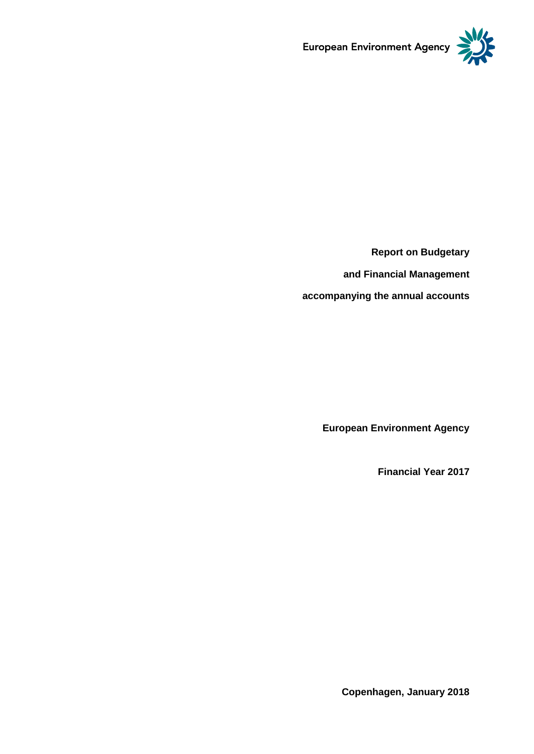

**Report on Budgetary and Financial Management**

**accompanying the annual accounts**

**European Environment Agency**

**Financial Year 2017**

**Copenhagen, January 2018**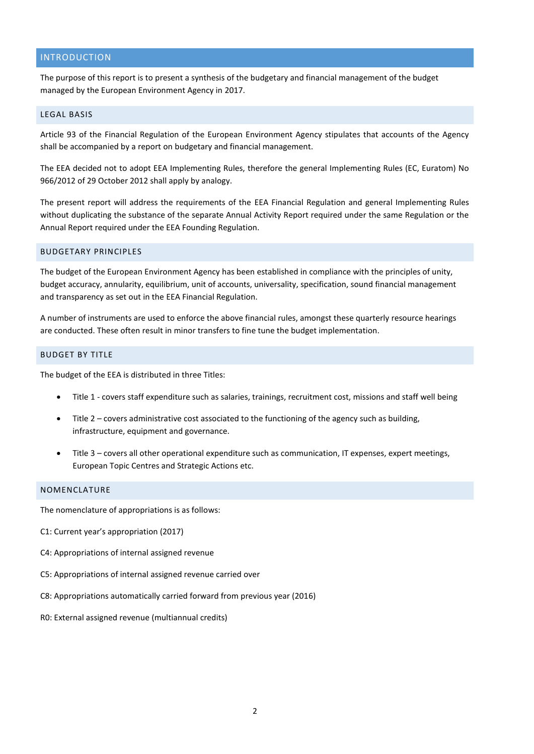## INTRODUCTION

The purpose of this report is to present a synthesis of the budgetary and financial management of the budget managed by the European Environment Agency in 2017.

#### LEGAL BASIS

Article 93 of the Financial Regulation of the European Environment Agency stipulates that accounts of the Agency shall be accompanied by a report on budgetary and financial management.

The EEA decided not to adopt EEA Implementing Rules, therefore the general Implementing Rules (EC, Euratom) No 966/2012 of 29 October 2012 shall apply by analogy.

The present report will address the requirements of the EEA Financial Regulation and general Implementing Rules without duplicating the substance of the separate Annual Activity Report required under the same Regulation or the Annual Report required under the EEA Founding Regulation.

#### BUDGETARY PRINCIPLES

The budget of the European Environment Agency has been established in compliance with the principles of unity, budget accuracy, annularity, equilibrium, unit of accounts, universality, specification, sound financial management and transparency as set out in the EEA Financial Regulation.

A number of instruments are used to enforce the above financial rules, amongst these quarterly resource hearings are conducted. These often result in minor transfers to fine tune the budget implementation.

#### BUDGET BY TITLE

The budget of the EEA is distributed in three Titles:

- Title 1 covers staff expenditure such as salaries, trainings, recruitment cost, missions and staff well being
- Title 2 covers administrative cost associated to the functioning of the agency such as building, infrastructure, equipment and governance.
- Title 3 covers all other operational expenditure such as communication, IT expenses, expert meetings, European Topic Centres and Strategic Actions etc.

### NOMENCLATURE

The nomenclature of appropriations is as follows:

- C1: Current year's appropriation (2017)
- C4: Appropriations of internal assigned revenue
- C5: Appropriations of internal assigned revenue carried over
- C8: Appropriations automatically carried forward from previous year (2016)
- R0: External assigned revenue (multiannual credits)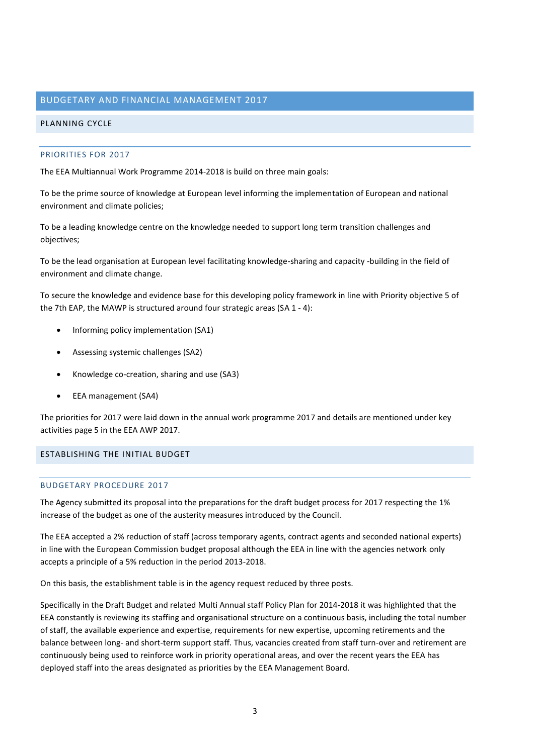#### BUDGETARY AND FINANCIAL MANAGEMENT 2017

#### PLANNING CYCLE

#### PRIORITIES FOR 2017

The EEA Multiannual Work Programme 2014-2018 is build on three main goals:

To be the prime source of knowledge at European level informing the implementation of European and national environment and climate policies;

To be a leading knowledge centre on the knowledge needed to support long term transition challenges and objectives;

To be the lead organisation at European level facilitating knowledge-sharing and capacity -building in the field of environment and climate change.

To secure the knowledge and evidence base for this developing policy framework in line with Priority objective 5 of the 7th EAP, the MAWP is structured around four strategic areas (SA 1 - 4):

- Informing policy implementation (SA1)
- Assessing systemic challenges (SA2)
- Knowledge co-creation, sharing and use (SA3)
- EEA management (SA4)

The priorities for 2017 were laid down in the annual work programme 2017 and details are mentioned under key activities page 5 in the EEA AWP 2017.

### ESTABLISHING THE INITIAL BUDGET

#### BUDGETARY PROCEDURE 2017

The Agency submitted its proposal into the preparations for the draft budget process for 2017 respecting the 1% increase of the budget as one of the austerity measures introduced by the Council.

The EEA accepted a 2% reduction of staff (across temporary agents, contract agents and seconded national experts) in line with the European Commission budget proposal although the EEA in line with the agencies network only accepts a principle of a 5% reduction in the period 2013-2018.

On this basis, the establishment table is in the agency request reduced by three posts.

Specifically in the Draft Budget and related Multi Annual staff Policy Plan for 2014-2018 it was highlighted that the EEA constantly is reviewing its staffing and organisational structure on a continuous basis, including the total number of staff, the available experience and expertise, requirements for new expertise, upcoming retirements and the balance between long- and short-term support staff. Thus, vacancies created from staff turn-over and retirement are continuously being used to reinforce work in priority operational areas, and over the recent years the EEA has deployed staff into the areas designated as priorities by the EEA Management Board.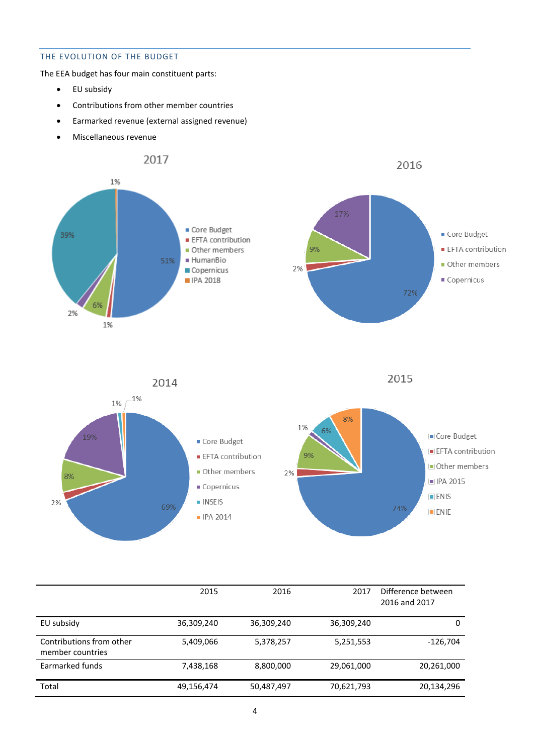# THE EVOLUTION OF THE BUDGET

The EEA budget has four main constituent parts:

- EU subsidy
- Contributions from other member countries
- Earmarked revenue (external assigned revenue)
- Miscellaneous revenue



|                                              | 2015       | 2016       | 2017       | Difference between<br>2016 and 2017 |
|----------------------------------------------|------------|------------|------------|-------------------------------------|
| EU subsidy                                   | 36,309,240 | 36,309,240 | 36,309,240 | 0                                   |
| Contributions from other<br>member countries | 5,409,066  | 5,378,257  | 5,251,553  | $-126,704$                          |
| Earmarked funds                              | 7,438,168  | 8,800,000  | 29,061,000 | 20,261,000                          |
| Total                                        | 49,156,474 | 50,487,497 | 70,621,793 | 20,134,296                          |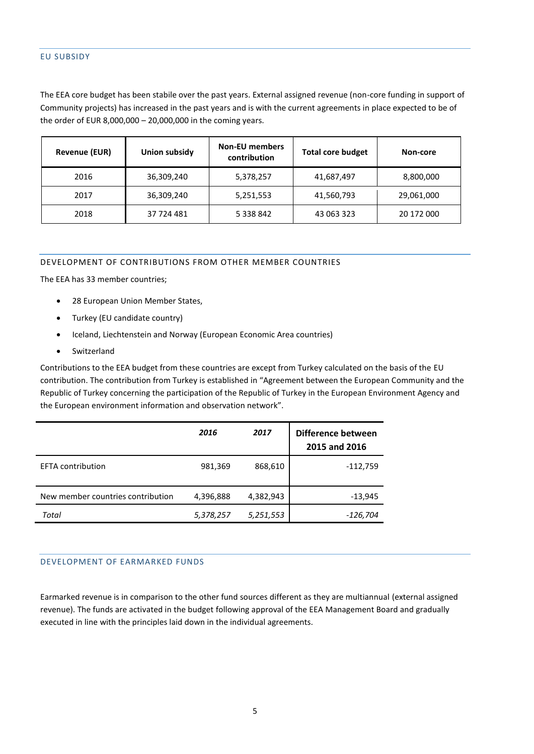## EU SUBSIDY

The EEA core budget has been stabile over the past years. External assigned revenue (non-core funding in support of Community projects) has increased in the past years and is with the current agreements in place expected to be of the order of EUR 8,000,000 – 20,000,000 in the coming years.

| <b>Revenue (EUR)</b> | Union subsidy | <b>Non-EU members</b><br>contribution | <b>Total core budget</b> | Non-core   |
|----------------------|---------------|---------------------------------------|--------------------------|------------|
| 2016                 | 36,309,240    | 5,378,257                             | 41,687,497               | 8,800,000  |
| 2017                 | 36,309,240    | 5,251,553                             | 41,560,793               | 29,061,000 |
| 2018                 | 37 724 481    | 5 3 3 8 8 4 2                         | 43 063 323               | 20 172 000 |

#### DEVELOPMENT OF CONTRIBUTIONS FROM OTHER MEMBER COUNTRIES

The EEA has 33 member countries;

- 28 European Union Member States,
- Turkey (EU candidate country)
- Iceland, Liechtenstein and Norway (European Economic Area countries)
- Switzerland

Contributions to the EEA budget from these countries are except from Turkey calculated on the basis of the EU contribution. The contribution from Turkey is established in "Agreement between the European Community and the Republic of Turkey concerning the participation of the Republic of Turkey in the European Environment Agency and the European environment information and observation network".

|                                   | 2016      | 2017      | Difference between<br>2015 and 2016 |
|-----------------------------------|-----------|-----------|-------------------------------------|
| <b>EFTA</b> contribution          | 981,369   | 868,610   | $-112,759$                          |
| New member countries contribution | 4,396,888 | 4,382,943 | $-13,945$                           |
| Total                             | 5,378,257 | 5,251,553 | -126,704                            |

#### DEVELOPMENT OF EARMARKED FUNDS

Earmarked revenue is in comparison to the other fund sources different as they are multiannual (external assigned revenue). The funds are activated in the budget following approval of the EEA Management Board and gradually executed in line with the principles laid down in the individual agreements.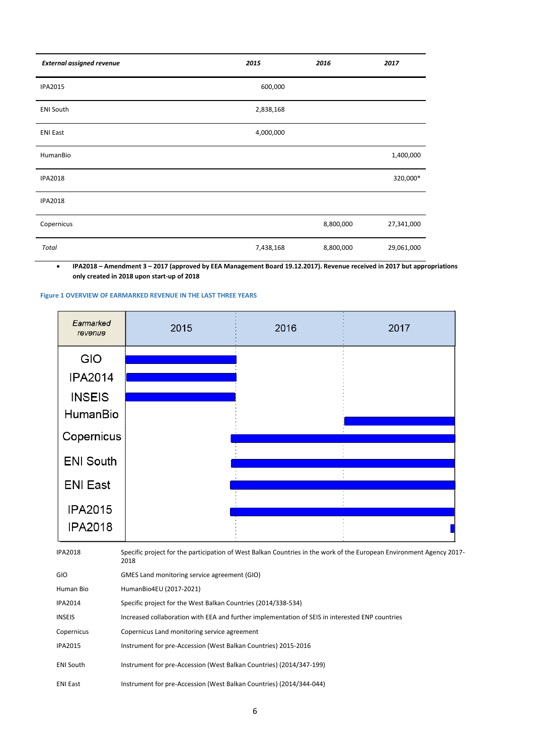| <b>External assigned revenue</b> | 2015      | 2016      | 2017       |
|----------------------------------|-----------|-----------|------------|
| <b>IPA2015</b>                   | 600,000   |           |            |
| <b>ENI South</b>                 | 2,838,168 |           |            |
| <b>ENI East</b>                  | 4,000,000 |           |            |
| HumanBio                         |           |           | 1,400,000  |
| <b>IPA2018</b>                   |           |           | 320,000*   |
| <b>IPA2018</b>                   |           |           |            |
| Copernicus                       |           | 8,800,000 | 27,341,000 |
| Total                            | 7,438,168 | 8,800,000 | 29,061,000 |

 **IPA2018 – Amendment 3 – 2017 (approved by EEA Management Board 19.12.2017). Revenue received in 2017 but appropriations only created in 2018 upon start-up of 2018**

#### **Figure 1 OVERVIEW OF EARMARKED REVENUE IN THE LAST THREE YEARS**

| Earmarked<br>revenue | 2015 | 2016 | 2017 |
|----------------------|------|------|------|
| <b>GIO</b>           |      |      |      |
| <b>IPA2014</b>       |      |      |      |
| <b>INSEIS</b>        |      |      |      |
| HumanBio             |      |      |      |
| Copernicus           |      |      |      |
| <b>ENI South</b>     |      |      |      |
|                      |      |      |      |
| <b>ENI East</b>      |      |      |      |
| <b>IPA2015</b>       |      |      |      |
| <b>IPA2018</b>       |      |      |      |

| <b>IPA2018</b>   | Specific project for the participation of West Balkan Countries in the work of the European Environment Agency 2017-<br>2018 |
|------------------|------------------------------------------------------------------------------------------------------------------------------|
| <b>GIO</b>       | GMES Land monitoring service agreement (GIO)                                                                                 |
| Human Bio        | HumanBio4EU (2017-2021)                                                                                                      |
| <b>IPA2014</b>   | Specific project for the West Balkan Countries (2014/338-534)                                                                |
| <b>INSEIS</b>    | Increased collaboration with EEA and further implementation of SEIS in interested ENP countries                              |
| Copernicus       | Copernicus Land monitoring service agreement                                                                                 |
| <b>IPA2015</b>   | Instrument for pre-Accession (West Balkan Countries) 2015-2016                                                               |
| <b>ENI South</b> | Instrument for pre-Accession (West Balkan Countries) (2014/347-199)                                                          |
| <b>ENI East</b>  | Instrument for pre-Accession (West Balkan Countries) (2014/344-044)                                                          |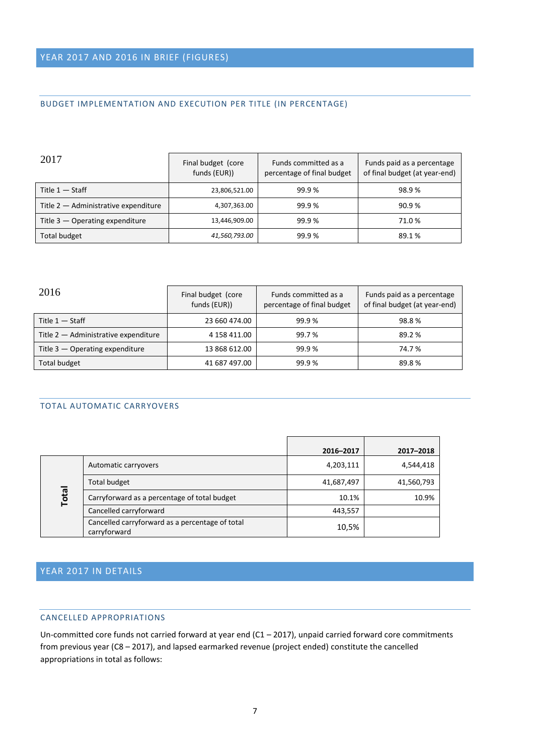# BUDGET IMPLEMENTATION AND EXECUTION PER TITLE (IN PERCENTAGE)

| 2017                                 | Final budget (core<br>funds (EUR)) | Funds committed as a<br>percentage of final budget | Funds paid as a percentage<br>of final budget (at year-end) |  |
|--------------------------------------|------------------------------------|----------------------------------------------------|-------------------------------------------------------------|--|
| Title $1 -$ Staff                    | 23,806,521.00                      | 99.9%                                              | 98.9%                                                       |  |
| Title 2 - Administrative expenditure | 4,307,363.00                       | 99.9%                                              | 90.9%                                                       |  |
| Title $3$ – Operating expenditure    | 13,446,909.00                      | 99.9%                                              | 71.0 %                                                      |  |
| <b>Total budget</b>                  | 41,560,793.00                      | 99.9%                                              | 89.1 %                                                      |  |

| 2016                                 | Final budget (core<br>funds (EUR)) | Funds committed as a<br>percentage of final budget | Funds paid as a percentage<br>of final budget (at year-end) |
|--------------------------------------|------------------------------------|----------------------------------------------------|-------------------------------------------------------------|
| Title $1 -$ Staff                    | 23 660 474.00                      | 99.9%                                              | 98.8%                                                       |
| Title 2 - Administrative expenditure | 4 158 411.00                       | 99.7 %                                             | 89.2%                                                       |
| Title $3$ $-$ Operating expenditure  | 13 868 612.00                      | 99.9%                                              | 74.7%                                                       |
| Total budget                         | 41 687 497.00                      | 99.9%                                              | 89.8%                                                       |

## TOTAL AUTOMATIC CARRYOVERS

|              |                                                                 | 2016-2017  | 2017-2018  |
|--------------|-----------------------------------------------------------------|------------|------------|
|              | Automatic carryovers                                            | 4,203,111  | 4,544,418  |
|              | Total budget                                                    | 41,687,497 | 41,560,793 |
| <b>Total</b> | Carryforward as a percentage of total budget                    | 10.1%      | 10.9%      |
|              | Cancelled carryforward                                          | 443,557    |            |
|              | Cancelled carryforward as a percentage of total<br>carryforward | 10,5%      |            |

# YEAR 2017 IN DETAILS

## CANCELLED APPROPRIATIONS

Un-committed core funds not carried forward at year end (C1 – 2017), unpaid carried forward core commitments from previous year (C8 – 2017), and lapsed earmarked revenue (project ended) constitute the cancelled appropriations in total as follows: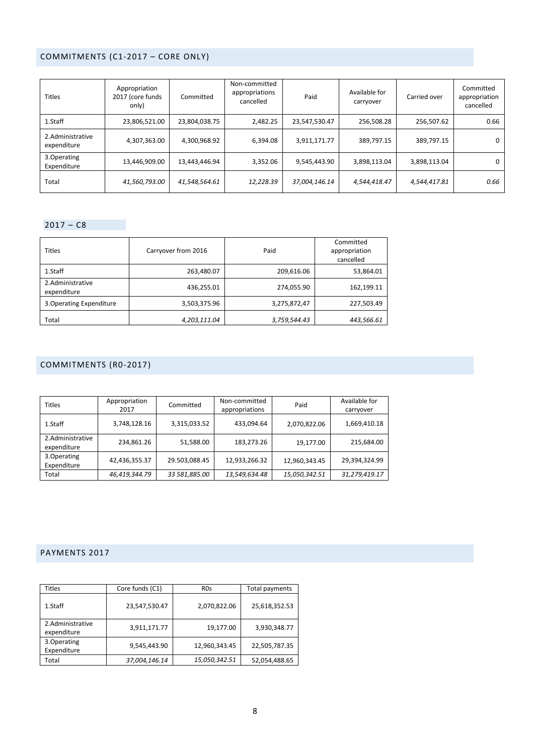# COMMITMENTS (C1-2017 – CORE ONLY)

| <b>Titles</b>                   | Appropriation<br>2017 (core funds<br>only) | Committed     | Non-committed<br>appropriations<br>cancelled | Paid          | Available for<br>carryover | Carried over | Committed<br>appropriation<br>cancelled |
|---------------------------------|--------------------------------------------|---------------|----------------------------------------------|---------------|----------------------------|--------------|-----------------------------------------|
| 1.Staff                         | 23,806,521.00                              | 23,804,038.75 | 2,482.25                                     | 23,547,530.47 | 256,508.28                 | 256,507.62   | 0.66                                    |
| 2.Administrative<br>expenditure | 4,307,363.00                               | 4,300,968.92  | 6,394.08                                     | 3,911,171.77  | 389,797.15                 | 389,797.15   | 0                                       |
| 3. Operating<br>Expenditure     | 13,446,909.00                              | 13,443,446.94 | 3,352.06                                     | 9,545,443.90  | 3,898,113.04               | 3,898,113.04 | 0                                       |
| Total                           | 41,560,793.00                              | 41,548,564.61 | 12,228.39                                    | 37,004,146.14 | 4,544,418.47               | 4,544,417.81 | 0.66                                    |

# $2017 - C8$

| <b>Titles</b>                   | Carryover from 2016 | Paid         | Committed<br>appropriation<br>cancelled |
|---------------------------------|---------------------|--------------|-----------------------------------------|
| 1.Staff                         | 263,480.07          | 209,616.06   | 53,864.01                               |
| 2.Administrative<br>expenditure | 436,255.01          | 274,055.90   | 162,199.11                              |
| 3. Operating Expenditure        | 3,503,375.96        | 3,275,872,47 | 227,503.49                              |
| Total                           | 4,203,111.04        | 3,759,544.43 | 443,566.61                              |

# COMMITMENTS (R0-2017)

| <b>Titles</b>                   | Appropriation<br>2017 | Committed     | Non-committed<br>appropriations | Paid          | Available for<br>carryover |
|---------------------------------|-----------------------|---------------|---------------------------------|---------------|----------------------------|
| 1.Staff                         | 3,748,128.16          | 3,315,033.52  | 433,094.64                      | 2,070,822.06  | 1,669,410.18               |
| 2.Administrative<br>expenditure | 234,861.26            | 51,588.00     | 183,273.26                      | 19,177.00     | 215,684.00                 |
| 3. Operating<br>Expenditure     | 42,436,355.37         | 29.503,088.45 | 12,933,266.32                   | 12,960,343.45 | 29,394,324.99              |
| Total                           | 46,419,344.79         | 33 581,885.00 | 13,549,634.48                   | 15,050,342.51 | 31,279,419.17              |

# PAYMENTS 2017

| Titles                          | Core funds (C1) | <b>ROs</b>    | Total payments |
|---------------------------------|-----------------|---------------|----------------|
| 1.Staff                         | 23,547,530.47   | 2,070,822.06  | 25,618,352.53  |
| 2.Administrative<br>expenditure | 3,911,171.77    | 19,177.00     | 3,930,348.77   |
| 3. Operating<br>Expenditure     | 9,545,443.90    | 12,960,343.45 | 22,505,787.35  |
| Total                           | 37,004,146.14   | 15,050,342.51 | 52,054,488.65  |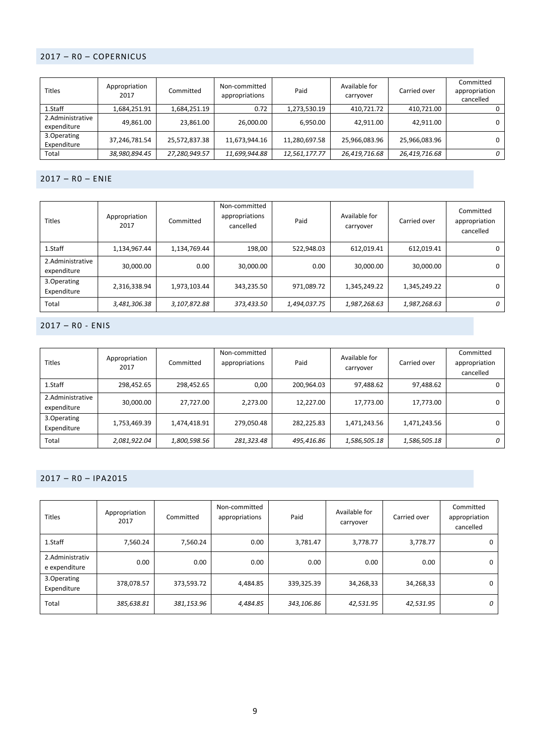# 2017 – R0 – COPERNICUS

| <b>Titles</b>                   | Appropriation<br>2017 | Committed     | Non-committed<br>appropriations | Paid          | Available for<br>carryover |               | Committed<br>appropriation<br>cancelled |
|---------------------------------|-----------------------|---------------|---------------------------------|---------------|----------------------------|---------------|-----------------------------------------|
| 1.Staff                         | 1,684,251.91          | 1,684,251.19  | 0.72                            | 1,273,530.19  | 410,721.72                 | 410,721.00    |                                         |
| 2.Administrative<br>expenditure | 49,861.00             | 23,861.00     | 26,000.00                       | 6,950.00      | 42,911.00                  | 42,911.00     | 0                                       |
| 3. Operating<br>Expenditure     | 37,246,781.54         | 25,572,837.38 | 11,673,944.16                   | 11,280,697.58 | 25,966,083.96              | 25,966,083.96 | 0                                       |
| Total                           | 38,980,894.45         | 27,280,949.57 | 11,699,944.88                   | 12,561,177.77 | 26,419,716.68              | 26,419,716.68 | 0                                       |

### 2017 – R0 – ENIE

| <b>Titles</b>                   | Appropriation<br>2017 | Committed    | Non-committed<br>appropriations<br>cancelled | Paid         | Available for<br>carryover |              | Committed<br>appropriation<br>cancelled |
|---------------------------------|-----------------------|--------------|----------------------------------------------|--------------|----------------------------|--------------|-----------------------------------------|
| 1.Staff                         | 1,134,967.44          | 1,134,769.44 | 198,00                                       | 522,948.03   | 612,019.41                 | 612,019.41   | 0                                       |
| 2.Administrative<br>expenditure | 30,000.00             | 0.00         | 30,000.00                                    | 0.00         | 30,000.00                  | 30,000.00    | 0                                       |
| 3.Operating<br>Expenditure      | 2,316,338.94          | 1,973,103.44 | 343,235.50                                   | 971,089.72   | 1,345,249.22               | 1,345,249.22 | 0                                       |
| Total                           | 3,481,306.38          | 3,107,872.88 | 373,433.50                                   | 1,494,037.75 | 1,987,268.63               | 1,987,268.63 | 0                                       |

# 2017 – R0 - ENIS

| <b>Titles</b>                   | Appropriation<br>2017 | Committed    | Non-committed<br>appropriations | Paid       | Available for<br>carryover | Carried over | Committed<br>appropriation<br>cancelled |
|---------------------------------|-----------------------|--------------|---------------------------------|------------|----------------------------|--------------|-----------------------------------------|
| 1.Staff                         | 298,452.65            | 298,452.65   | 0,00                            | 200,964.03 | 97,488.62                  | 97,488.62    |                                         |
| 2.Administrative<br>expenditure | 30,000.00             | 27,727.00    | 2,273.00                        | 12,227.00  | 17,773.00                  | 17,773.00    | 0                                       |
| 3.Operating<br>Expenditure      | 1,753,469.39          | 1,474,418.91 | 279,050.48                      | 282,225.83 | 1,471,243.56               | 1,471,243.56 | 0                                       |
| Total                           | 2,081,922.04          | 1,800,598.56 | 281,323.48                      | 495,416.86 | 1,586,505.18               | 1,586,505.18 | 0                                       |

# 2017 – R0 – IPA2015

| <b>Titles</b>                    | Appropriation<br>2017 | Committed  | Non-committed<br>appropriations | Paid       | Available for<br>carryover | Carried over | Committed<br>appropriation<br>cancelled |
|----------------------------------|-----------------------|------------|---------------------------------|------------|----------------------------|--------------|-----------------------------------------|
| 1.Staff                          | 7,560.24              | 7,560.24   | 0.00                            | 3,781.47   | 3,778.77                   | 3,778.77     | 0                                       |
| 2.Administrativ<br>e expenditure | 0.00                  | 0.00       | 0.00                            | 0.00       | 0.00                       | 0.00         | 0                                       |
| 3.Operating<br>Expenditure       | 378,078.57            | 373,593.72 | 4,484.85                        | 339,325.39 | 34,268,33                  | 34,268,33    | 0                                       |
| Total                            | 385,638.81            | 381,153.96 | 4,484.85                        | 343,106.86 | 42,531.95                  | 42,531.95    | 0                                       |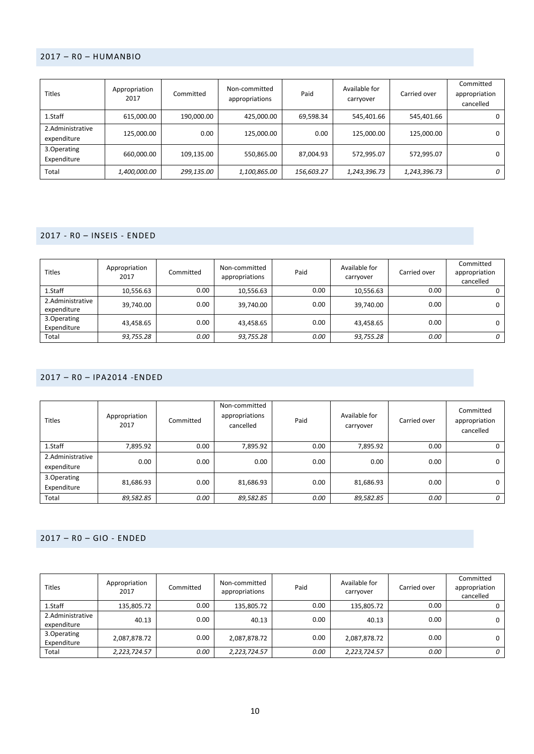## 2017 – R0 – HUMANBIO

| <b>Titles</b>                   | Appropriation<br>2017 | Committed  | Non-committed<br>appropriations | Available for<br>Paid<br>carryover |              | Carried over | Committed<br>appropriation<br>cancelled |
|---------------------------------|-----------------------|------------|---------------------------------|------------------------------------|--------------|--------------|-----------------------------------------|
| 1.Staff                         | 615,000.00            | 190,000.00 | 425.000.00                      | 69,598.34                          | 545,401.66   | 545,401.66   | 0                                       |
| 2.Administrative<br>expenditure | 125,000.00            | 0.00       | 125.000.00                      | 0.00                               | 125,000.00   | 125,000.00   | 0                                       |
| 3. Operating<br>Expenditure     | 660,000.00            | 109,135.00 | 550,865.00                      | 87,004.93                          | 572,995.07   | 572,995.07   | 0                                       |
| Total                           | <i>1,400,000.00</i>   | 299,135.00 | 1,100,865.00                    | 156,603.27                         | 1,243,396.73 | 1,243,396.73 | 0                                       |

# 2017 - R0 – INSEIS - ENDED

| <b>Titles</b>                   | Appropriation<br>2017 | Committed | Non-committed<br>appropriations | Paid | Available for<br>carryover | Carried over | Committed<br>appropriation<br>cancelled |
|---------------------------------|-----------------------|-----------|---------------------------------|------|----------------------------|--------------|-----------------------------------------|
| 1.Staff                         | 10,556.63             | 0.00      | 10,556.63                       | 0.00 | 10,556.63                  | 0.00         |                                         |
| 2.Administrative<br>expenditure | 39,740.00             | 0.00      | 39,740.00                       | 0.00 | 39,740.00                  | 0.00         | 0                                       |
| 3. Operating<br>Expenditure     | 43,458.65             | 0.00      | 43,458.65                       | 0.00 | 43,458.65                  | 0.00         | 0                                       |
| Total                           | 93,755.28             | 0.00      | 93,755.28                       | 0.00 | 93,755.28                  | 0.00         | 0                                       |

## 2017 – R0 – IPA2014 -ENDED

| <b>Titles</b>                   | Appropriation<br>2017 | Committed | Non-committed<br>appropriations<br>cancelled | Paid | Available for<br>carryover | Carried over | Committed<br>appropriation<br>cancelled |
|---------------------------------|-----------------------|-----------|----------------------------------------------|------|----------------------------|--------------|-----------------------------------------|
| 1.Staff                         | 7,895.92              | 0.00      | 7,895.92                                     | 0.00 | 7,895.92                   | 0.00         | υ                                       |
| 2.Administrative<br>expenditure | 0.00                  | 0.00      | 0.00                                         | 0.00 | 0.00                       | 0.00         | 0                                       |
| 3.Operating<br>Expenditure      | 81,686.93             | 0.00      | 81,686.93                                    | 0.00 | 81,686.93                  | 0.00         | 0                                       |
| Total                           | 89,582.85             | 0.00      | 89,582.85                                    | 0.00 | 89,582.85                  | 0.00         | 0                                       |

## 2017 – R0 – GIO - ENDED

| <b>Titles</b>                   | Appropriation<br>2017 | Committed | Non-committed<br>appropriations | Paid | Available for<br>carryover | Carried over | Committed<br>appropriation<br>cancelled |
|---------------------------------|-----------------------|-----------|---------------------------------|------|----------------------------|--------------|-----------------------------------------|
| 1.Staff                         | 135,805.72            | 0.00      | 135,805.72                      | 0.00 | 135,805.72                 | 0.00         |                                         |
| 2.Administrative<br>expenditure | 40.13                 | 0.00      | 40.13                           | 0.00 | 40.13                      | 0.00         | 0                                       |
| 3. Operating<br>Expenditure     | 2,087,878.72          | 0.00      | 2,087,878.72                    | 0.00 | 2,087,878.72               | 0.00         | 0                                       |
| Total                           | 2,223,724.57          | 0.00      | 2,223,724.57                    | 0.00 | 2,223,724.57               | 0.00         | 0                                       |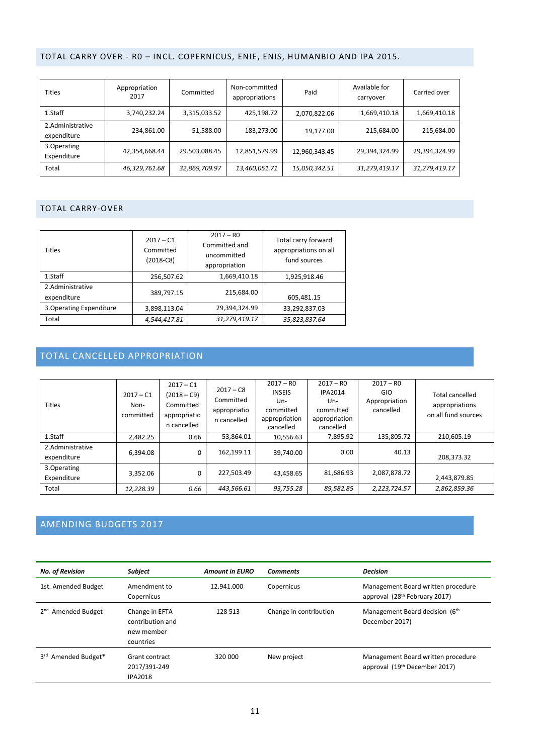# TOTAL CARRY OVER - R0 – INCL. COPERNICUS, ENIE, ENIS, HUMANBIO AND IPA 2015.

| <b>Titles</b>                   | Appropriation<br>2017 | Committed     | Non-committed<br>appropriations | Paid          | Available for<br>carryover | Carried over  |
|---------------------------------|-----------------------|---------------|---------------------------------|---------------|----------------------------|---------------|
| 1.Staff                         | 3,740,232.24          | 3,315,033.52  | 425,198.72                      | 2,070,822.06  | 1,669,410.18               | 1,669,410.18  |
| 2.Administrative<br>expenditure | 234,861.00            | 51,588.00     | 183,273.00                      | 19,177.00     | 215,684.00                 | 215,684.00    |
| 3. Operating<br>Expenditure     | 42,354,668.44         | 29.503,088.45 | 12,851,579.99                   | 12,960,343.45 | 29,394,324.99              | 29,394,324.99 |
| Total                           | 46,329,761.68         | 32,869,709.97 | 13,460,051.71                   | 15,050,342.51 | 31,279,419.17              | 31,279,419.17 |

### TOTAL CARRY-OVER

| <b>Titles</b>                   | $2017 - C1$<br>Committed<br>$(2018-C8)$ | $2017 - R0$<br>Committed and<br>uncommitted<br>appropriation | Total carry forward<br>appropriations on all<br>fund sources |
|---------------------------------|-----------------------------------------|--------------------------------------------------------------|--------------------------------------------------------------|
| 1.Staff                         | 256,507.62                              | 1,669,410.18                                                 | 1,925,918.46                                                 |
| 2.Administrative<br>expenditure | 389,797.15                              | 215,684.00                                                   | 605,481.15                                                   |
| 3. Operating Expenditure        | 3,898,113.04                            | 29,394,324.99                                                | 33,292,837.03                                                |
| Total                           | 4,544,417.81                            | 31,279,419.17                                                | 35,823,837.64                                                |

# TOTAL CANCELLED APPROPRIATION

|                                 |                                  | $2017 - C1$                                               |                                                         | $2017 - R0$                                                     | $2017 - R0$                                                      | $2017 - R0$                              |                                                                 |
|---------------------------------|----------------------------------|-----------------------------------------------------------|---------------------------------------------------------|-----------------------------------------------------------------|------------------------------------------------------------------|------------------------------------------|-----------------------------------------------------------------|
| <b>Titles</b>                   | $2017 - C1$<br>Non-<br>committed | $(2018 - C9)$<br>Committed<br>appropriatio<br>n cancelled | $2017 - C8$<br>Committed<br>appropriatio<br>n cancelled | <b>INSEIS</b><br>Un-<br>committed<br>appropriation<br>cancelled | <b>IPA2014</b><br>Un-<br>committed<br>appropriation<br>cancelled | <b>GIO</b><br>Appropriation<br>cancelled | <b>Total cancelled</b><br>appropriations<br>on all fund sources |
| 1.Staff                         | 2.482.25                         | 0.66                                                      | 53,864.01                                               | 10,556.63                                                       | 7,895.92                                                         | 135,805.72                               | 210,605.19                                                      |
| 2.Administrative<br>expenditure | 6.394.08                         | 0                                                         | 162,199.11                                              | 39,740.00                                                       | 0.00                                                             | 40.13                                    | 208.373.32                                                      |
| 3.Operating<br>Expenditure      | 3.352.06                         | 0                                                         | 227,503.49                                              | 43.458.65                                                       | 81,686.93                                                        | 2,087,878.72                             | 2,443,879.85                                                    |
| Total                           | 12,228.39                        | 0.66                                                      | 443,566.61                                              | 93,755.28                                                       | 89.582.85                                                        | 2,223,724.57                             | 2,862,859.36                                                    |

# AMENDING BUDGETS 2017

| <b>No. of Revision</b>                   | Subject                                                       | <b>Amount in EURO</b> | <b>Comments</b>        | <b>Decision</b>                                                                 |
|------------------------------------------|---------------------------------------------------------------|-----------------------|------------------------|---------------------------------------------------------------------------------|
| 1st. Amended Budget                      | Amendment to<br>Copernicus                                    | 12.941.000            | Copernicus             | Management Board written procedure<br>approval (28 <sup>th</sup> February 2017) |
| <b>Amended Budget</b><br>2 <sup>nd</sup> | Change in EFTA<br>contribution and<br>new member<br>countries | $-128513$             | Change in contribution | Management Board decision (6 <sup>th</sup> )<br>December 2017)                  |
| 3rd Amended Budget*                      | Grant contract<br>2017/391-249<br><b>IPA2018</b>              | 320 000               | New project            | Management Board written procedure<br>approval (19 <sup>th</sup> December 2017) |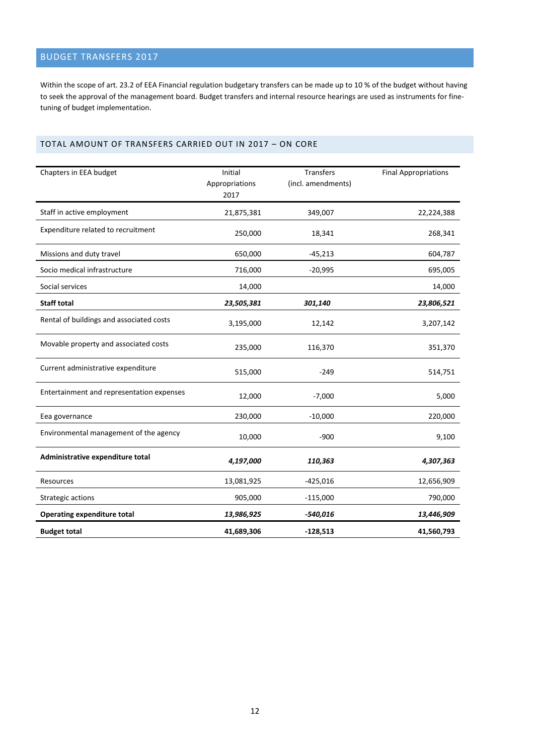# BUDGET TRANSFERS 2017

Within the scope of art. 23.2 of EEA Financial regulation budgetary transfers can be made up to 10 % of the budget without having to seek the approval of the management board. Budget transfers and internal resource hearings are used as instruments for finetuning of budget implementation.

## TOTAL AMOUNT OF TRANSFERS CARRIED OUT IN 2017 – ON CORE

| Chapters in EEA budget                    | Initial<br>Appropriations<br>2017 | Transfers<br>(incl. amendments) | <b>Final Appropriations</b> |
|-------------------------------------------|-----------------------------------|---------------------------------|-----------------------------|
| Staff in active employment                | 21,875,381                        | 349,007                         | 22,224,388                  |
| Expenditure related to recruitment        | 250,000                           | 18,341                          | 268,341                     |
| Missions and duty travel                  | 650,000                           | $-45,213$                       | 604,787                     |
| Socio medical infrastructure              | 716,000                           | $-20,995$                       | 695,005                     |
| Social services                           | 14,000                            |                                 | 14,000                      |
| <b>Staff total</b>                        | 23,505,381                        | 301,140                         | 23,806,521                  |
| Rental of buildings and associated costs  | 3,195,000                         | 12,142                          | 3,207,142                   |
| Movable property and associated costs     | 235,000                           | 116,370                         | 351,370                     |
| Current administrative expenditure        | 515,000                           | $-249$                          | 514,751                     |
| Entertainment and representation expenses | 12,000                            | $-7,000$                        | 5,000                       |
| Eea governance                            | 230,000                           | $-10,000$                       | 220,000                     |
| Environmental management of the agency    | 10,000                            | $-900$                          | 9,100                       |
| Administrative expenditure total          | 4,197,000                         | 110,363                         | 4,307,363                   |
| Resources                                 | 13,081,925                        | $-425,016$                      | 12,656,909                  |
| Strategic actions                         | 905,000                           | $-115,000$                      | 790,000                     |
| <b>Operating expenditure total</b>        | 13,986,925                        | $-540,016$                      | 13,446,909                  |
| <b>Budget total</b>                       | 41,689,306                        | $-128,513$                      | 41,560,793                  |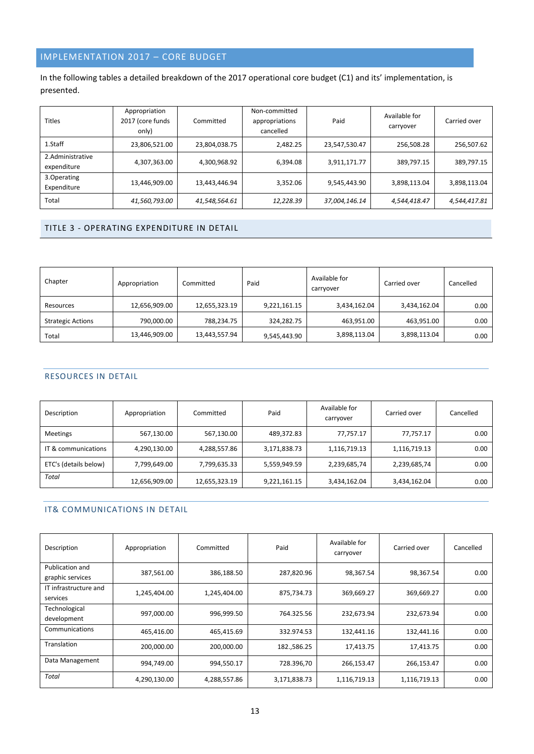# IMPLEMENTATION 2017 – CORE BUDGET

# In the following tables a detailed breakdown of the 2017 operational core budget (C1) and its' implementation, is presented.

| <b>Titles</b>                   | Appropriation<br>2017 (core funds<br>only) | Committed     | Non-committed<br>appropriations<br>cancelled | Paid          | Available for<br>carryover | Carried over |
|---------------------------------|--------------------------------------------|---------------|----------------------------------------------|---------------|----------------------------|--------------|
| 1.Staff                         | 23,806,521.00                              | 23,804,038.75 | 2,482.25                                     | 23,547,530.47 | 256,508.28                 | 256,507.62   |
| 2.Administrative<br>expenditure | 4,307,363.00                               | 4,300,968.92  | 6,394.08                                     | 3,911,171.77  | 389,797.15                 | 389,797.15   |
| 3. Operating<br>Expenditure     | 13,446,909.00                              | 13,443,446.94 | 3,352.06                                     | 9,545,443.90  | 3,898,113.04               | 3,898,113.04 |
| Total                           | 41,560,793.00                              | 41,548,564.61 | 12,228.39                                    | 37,004,146.14 | 4,544,418.47               | 4,544,417.81 |

# TITLE 3 - OPERATING EXPENDITURE IN DETAIL

| Chapter                  | Appropriation | Committed     | Paid         | Available for<br>carryover | Carried over | Cancelled |
|--------------------------|---------------|---------------|--------------|----------------------------|--------------|-----------|
| Resources                | 12,656,909.00 | 12,655,323.19 | 9,221,161.15 | 3,434,162.04               | 3,434,162.04 | 0.00      |
| <b>Strategic Actions</b> | 790,000.00    | 788,234.75    | 324,282.75   | 463,951.00                 | 463,951.00   | 0.00      |
| Total                    | 13,446,909.00 | 13,443,557.94 | 9,545,443.90 | 3,898,113.04               | 3,898,113.04 | 0.00      |

## RESOURCES IN DETAIL

| Description           | Appropriation | Committed     | Available for<br>Paid<br>carryover |              | Carried over | Cancelled |
|-----------------------|---------------|---------------|------------------------------------|--------------|--------------|-----------|
| <b>Meetings</b>       | 567,130.00    | 567,130.00    | 489,372.83                         | 77,757.17    | 77,757.17    | 0.00      |
| IT & communications   | 4,290,130.00  | 4,288,557.86  | 3,171,838.73                       | 1,116,719.13 | 1,116,719.13 | 0.00      |
| ETC's (details below) | 7,799,649.00  | 7,799,635.33  | 5,559,949.59                       | 2,239,685,74 | 2,239,685,74 | 0.00      |
| Total                 | 12,656,909.00 | 12,655,323.19 | 9,221,161.15                       | 3,434,162.04 | 3,434,162.04 | 0.00      |

# IT& COMMUNICATIONS IN DETAIL

| Description                         | Appropriation | Committed    | Paid         | Available for<br>carryover | Carried over | Cancelled |
|-------------------------------------|---------------|--------------|--------------|----------------------------|--------------|-----------|
| Publication and<br>graphic services | 387,561.00    | 386,188.50   | 287,820.96   | 98,367.54                  | 98,367.54    | 0.00      |
| IT infrastructure and<br>services   | 1,245,404.00  | 1,245,404.00 | 875,734.73   | 369,669.27                 | 369,669.27   | 0.00      |
| Technological<br>development        | 997,000.00    | 996,999.50   | 764.325.56   | 232,673.94                 | 232,673.94   | 0.00      |
| Communications                      | 465.416.00    | 465,415.69   | 332.974.53   | 132,441.16                 | 132,441.16   | 0.00      |
| Translation                         | 200,000.00    | 200,000.00   | 182.,586.25  | 17,413.75                  | 17,413.75    | 0.00      |
| Data Management                     | 994,749.00    | 994,550.17   | 728.396,70   | 266,153.47                 | 266,153.47   | 0.00      |
| <b>Total</b>                        | 4,290,130.00  | 4,288,557.86 | 3,171,838.73 | 1,116,719.13               | 1,116,719.13 | 0.00      |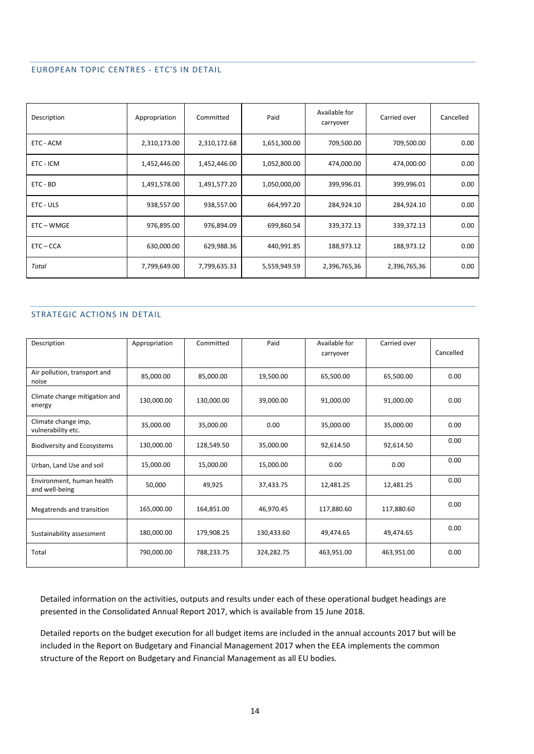#### EUROPEAN TOPIC CENTRES - ETC'S IN DETAIL

| Description  | Appropriation | Committed    | Paid         | Available for<br>carryover | Carried over | Cancelled |
|--------------|---------------|--------------|--------------|----------------------------|--------------|-----------|
| ETC - ACM    | 2,310,173.00  | 2,310,172.68 | 1,651,300.00 | 709,500.00                 | 709,500.00   | 0.00      |
| ETC - ICM    | 1,452,446.00  | 1,452,446.00 | 1,052,800.00 | 474,000.00                 | 474,000.00   | 0.00      |
| ETC - BD     | 1,491,578.00  | 1,491,577.20 | 1,050,000,00 | 399,996.01                 | 399,996.01   | 0.00      |
| ETC - ULS    | 938,557.00    | 938,557.00   | 664,997.20   | 284,924.10                 | 284,924.10   | 0.00      |
| ETC – WMGE   | 976,895.00    | 976,894.09   | 699,860.54   | 339,372.13                 | 339,372.13   | 0.00      |
| $ETC - CCA$  | 630,000.00    | 629,988.36   | 440,991.85   | 188,973.12                 | 188,973.12   | 0.00      |
| <b>Total</b> | 7,799,649.00  | 7,799,635.33 | 5,559,949.59 | 2,396,765,36               | 2,396,765,36 | 0.00      |

#### STRATEGIC ACTIONS IN DETAIL

| Description                                 | Appropriation | Committed  | Paid       | Available for<br>carryover | Carried over | Cancelled |
|---------------------------------------------|---------------|------------|------------|----------------------------|--------------|-----------|
| Air pollution, transport and<br>noise       | 85.000.00     | 85,000.00  | 19,500.00  | 65,500.00                  | 65,500.00    | 0.00      |
| Climate change mitigation and<br>energy     | 130,000.00    | 130,000.00 | 39,000.00  | 91,000.00                  | 91,000.00    | 0.00      |
| Climate change imp,<br>vulnerability etc.   | 35,000.00     | 35,000.00  | 0.00       | 35,000.00                  | 35,000.00    | 0.00      |
| <b>Biodiversity and Ecosystems</b>          | 130,000.00    | 128,549.50 | 35,000.00  | 92,614.50                  | 92,614.50    | 0.00      |
| Urban, Land Use and soil                    | 15,000.00     | 15,000.00  | 15,000.00  | 0.00                       | 0.00         | 0.00      |
| Environment, human health<br>and well-being | 50.000        | 49,925     | 37,433.75  | 12,481.25                  | 12,481.25    | 0.00      |
| Megatrends and transition                   | 165,000.00    | 164,851.00 | 46,970.45  | 117,880.60                 | 117,880.60   | 0.00      |
| Sustainability assessment                   | 180,000.00    | 179,908.25 | 130,433.60 | 49,474.65                  | 49,474.65    | 0.00      |
| Total                                       | 790,000.00    | 788,233.75 | 324,282.75 | 463,951.00                 | 463,951.00   | 0.00      |

Detailed information on the activities, outputs and results under each of these operational budget headings are presented in the Consolidated Annual Report 2017, which is available from 15 June 2018.

Detailed reports on the budget execution for all budget items are included in the annual accounts 2017 but will be included in the Report on Budgetary and Financial Management 2017 when the EEA implements the common structure of the Report on Budgetary and Financial Management as all EU bodies.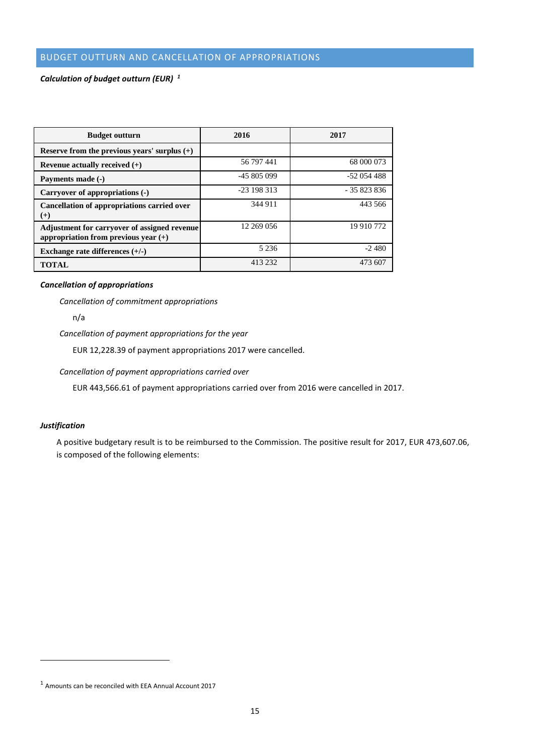# BUDGET OUTTURN AND CANCELLATION OF APPROPRIATIONS

### *Calculation of budget outturn (EUR) <sup>1</sup>*

| <b>Budget outturn</b>                                                                  | 2016        | 2017        |
|----------------------------------------------------------------------------------------|-------------|-------------|
| Reserve from the previous years' surplus $(+)$                                         |             |             |
| Revenue actually received $(+)$                                                        | 56 797 441  | 68 000 073  |
| Payments made (-)                                                                      | -45 805 099 | $-52054488$ |
| Carryover of appropriations (-)                                                        | $-23198313$ | $-35823836$ |
| Cancellation of appropriations carried over<br>$^{(+)}$                                | 344 911     | 443 566     |
| Adjustment for carryover of assigned revenue<br>appropriation from previous year $(+)$ | 12 269 056  | 19 910 772  |
| Exchange rate differences $(+/-)$                                                      | 5 2 3 6     | $-2480$     |
| <b>TOTAL</b>                                                                           | 413 232     | 473 607     |

#### *Cancellation of appropriations*

*Cancellation of commitment appropriations*

n/a

*Cancellation of payment appropriations for the year*

EUR 12,228.39 of payment appropriations 2017 were cancelled.

*Cancellation of payment appropriations carried over*

EUR 443,566.61 of payment appropriations carried over from 2016 were cancelled in 2017.

#### *Justification*

1

A positive budgetary result is to be reimbursed to the Commission. The positive result for 2017, EUR 473,607.06, is composed of the following elements:

<sup>1</sup> Amounts can be reconciled with EEA Annual Account 2017